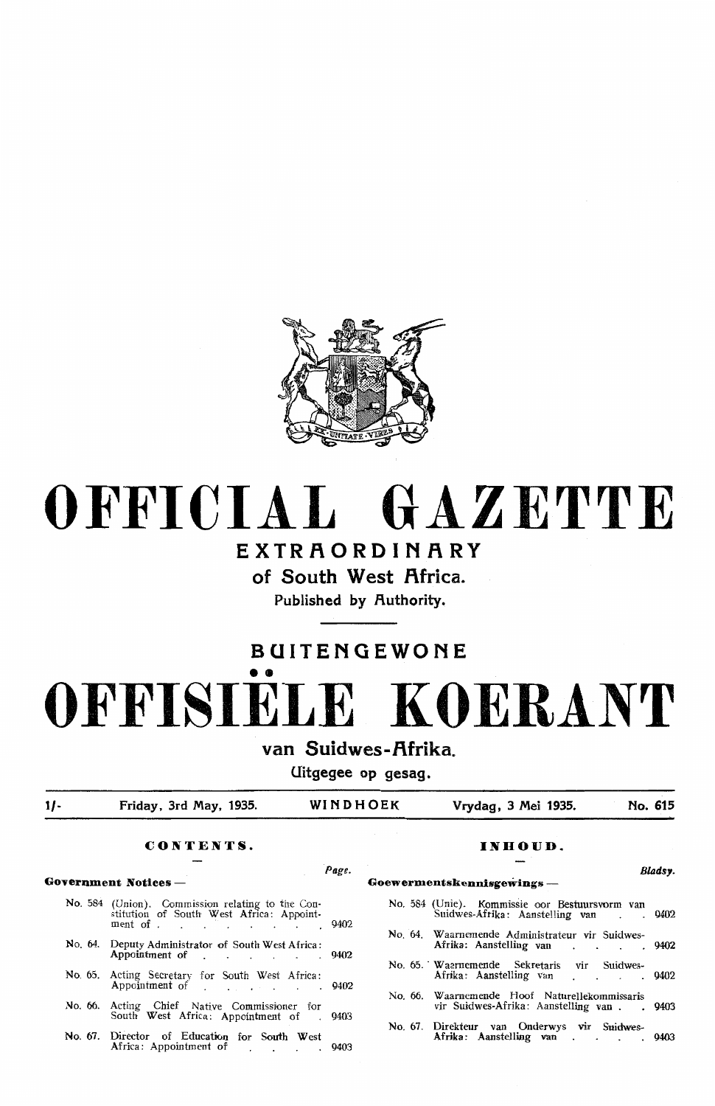

# **OFFICIAL GAZETTE**

### **EXTRAORDINARY**

**of South West Africa.** 

**Published by Ruthority.** 

## **BUITENGEWONE**  •• **OFFISIELE KOERANT**

**van Suidwes-f\frika.** 

**Uitgegee op gesag.** 

**1/- Friday, 3rd May, 1935. WINDHOEK Vrydag, 3 Mei 1935. No. 615** 

### **CONTENTS. INDOUD.**

| No. 584 (Union). Commission relating to the Constitution of South West Africa: Appointment of |  |
|-----------------------------------------------------------------------------------------------|--|
| No. 64. Deputy Administrator of South West Africa:<br>Appointment of 9402                     |  |
| No. 65. Acting Secretary for South West Africa:<br>Appointment of 19402                       |  |
| No. 66. Acting Chief Native Commissioner for<br>South West Africa: Appointment of 9403        |  |
| No. 67. Director of Education for South West                                                  |  |

### Africa: Appointment of Fig. 2003

### *Page.* **Bladsy. Goyernment Notices - Goewermentskennisgewings** -

| No. 584 (Unie). Kommissie oor Bestuursvorm van Suidwes-Afrika: Aanstelling van 9402 |  |
|-------------------------------------------------------------------------------------|--|
| No. 64. Waarnemende Administrateur vir Suidwes-<br>Afrika: Aanstelling van 9402     |  |
| No. 65. Waarnemende Sekretaris vir Suidwes-<br>Afrika: Aanstelling van 9402         |  |

No. 66. Waamemende Hoof Naturellekommissaris vir Suidwes-Afrika: Aanstelling van . . 9403

No. 67. Direkteur van Onderwys vir Suidwes-Afrika: Aanstelling van . . . . 9403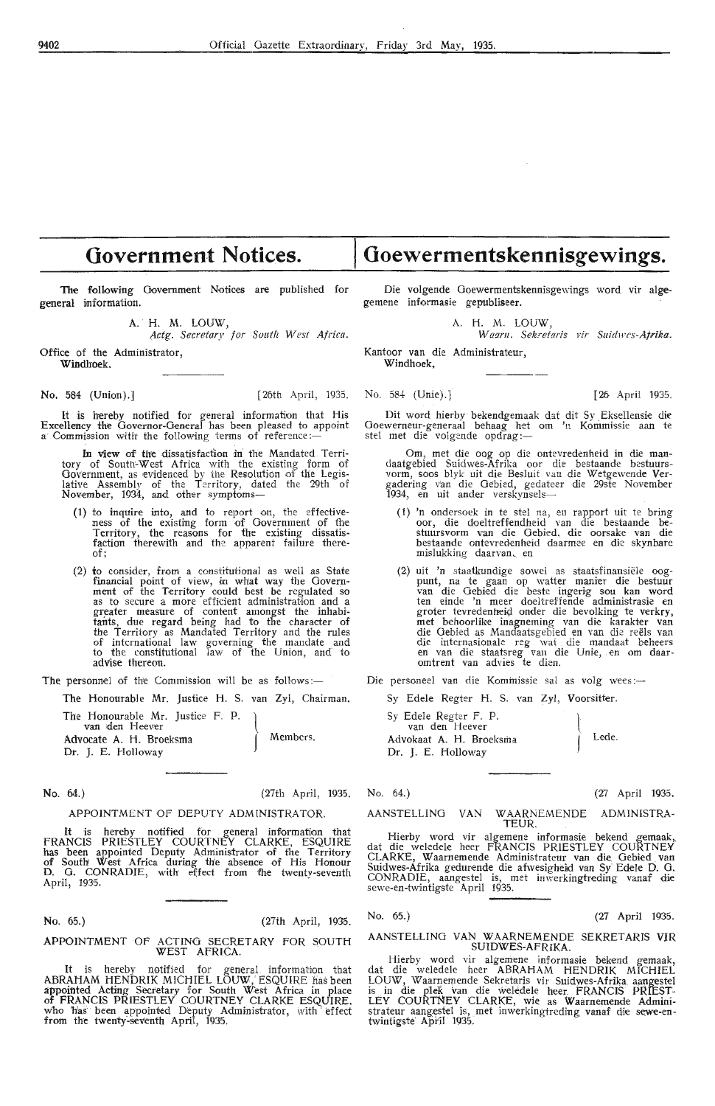### **Government Notices.**

**The** following Government Notices are published for general information.

A. H. M. LOUW,

Actg. Secretary for South West Africa.

Office of the Administrator, Windhoek.

**No. 584 (Union).]** [26th April, 1935. No. 584 (Unie).] [26 April 1935.

**lt** is hereby notified for general information that His Excellency the Governor-General has been pleased to appoint<br>a Commission with the following terms of reference:—

In view of the dissatisfaction in the Mandated Territory of South'-West Africa with the existing form of Government, as evidenced by the Resolution of the Legislative Assembly of the Territory, dated the 29th of<br>November, 1934, and other symptoms—

- (1) to inquire into, and to report on, the effective- ness of the existing form of Government of the Territory, the reasons for the existing dissatisfaction therewith and the apparent failure thereof;
- (2) to consider, from a constitutional as well as State financial point of view, in what way the Government of the Territory could best be regulated so as to secure a more efficient administration and a greater measure of content amongst the inhabitants, due regard being had to the character of the Territory as Mandated Territory and the rules of international law governing the mandate and to the constitutional law of the Union, and· to advise thereon.

The Honourable Mr. Justice H. S. van Zyl, Chairman. Sy Edele Regter H. S. van Zyl, Voorsitter.

The Honourable Mr. Justice F. P. van den Heever Advocate A. H. Broeksma **Dt. J.** E. Holloway  $\Big\}$ Members.

No. 64.) (27th April, 1935. No. 64.) (27 Ap,ril 1935.

### APPOINTMENT OF DEPUTY ADMINISTRATOR.

It is hereby notified for general information that FRANCIS PRIESTLEY COURTNEY CLARKE, ESQUIRE<br>has been appointed Deputy Administrator of the Territory<br>of South West Africa during the absence of His Honour D. G. CONRADIE, with effect from the twenty-seventh April, 1935. -

No. 65.) (27th April, 1935.

### APPOINTMENT OF ACTING SECRETARY FOR SOUTH WEST AFRICA. .

It is hereby notified for general information that ABRAHAM HENDRIK MICHIEL LÕUW, ESQUIRE has been appointed Acting Secretary for South West Africa in place of FRANCIS PRIESTLEY COURTNEY CLARKE ESQUIRE. who has been appointed Deputy Administrator, with effect from the twenty-seventh April, 1935.

Die volgende Goewermentskennisgewings word vir algegemene informasie gepubliseer.

**Goewermentskennisgewings.** 

A. H. M. LOUW,

*Warm1. Sekretaris* Fir *Suidwcs-Afrika.* 

Kantoor van die Administrateur, **Windhoek,** 

Dit word hierbv bekendgemaak dat dit Sy Eksellensie die Goewerneur-generaal behaag het om 'n Kommissie aan te<br>stel met die volgende opdrag:—

Om, met die oog op die ontevredenheid in die man-<br>daatgebied Suidwes-Afrika oor die bestaande bestuursvorm, soos blyk uit die Besluit van die Wetgewende Vergadering v'an die Oebied, gedateer die 29ste November 1934, en uit ander verskynsels-

- (1) 'n ondersoek in te stel na, en rapport uit te bring oor, die doeltreffendheid van die bestaande bestuursvorm van die Gebied, die oorsake van die bestaande ontevredenheid daarmee en die skynbarc mislukking daarvan, en
- (2) uit 'n staatkundige sowel as staatsfinansiele oogpunt, na te gaan op watter manier die bestuur<br>van die Oebied die beste ingerig sou kan word groter tevredenheid onder die bevolking te verkry, met behoorlike inagneming van die karakter van die Oebied as Mandaatsgebied en van die reëls van die internasionale reg wat die mandaat beheers en van die staatsreg van die Unie, en om daaromtrent van advies te dien.

The personnel of the Commission will be as follows :- Die personeel van die Kommissie sal as volg wees:-

Sy Edele Regter F. P.<br>van den Heever Advokaat A. H. Broeksma Dr. J. E. Holloway  $\int$ J

AANSTELLINO VAN WAARNEMENDE ADMINISTRA-TEUR.

Hierby word vir algemene informasie bekend gemaak, dat die weledele heer FRANCIS PRIESTLEY COURTNEY CLARKE, Waarnemende Administrateur van die Gebied van<br>Suidwes-Afrika gedurende die afwesigheid van Sy Edele D. G. CONRADIE, aangestel is, met inwerkingtreding vanaf die sewe-en-twintigste April 1935.

No. 65.) (27 April 1935.

AANSTELLING VAN WAARNEMENDE SEKRETARIS VIR SUIDWES-AFRIKA. SUIDWES-AFRIKA.

Hierby word vir algemene informasie bekend gemaak, dat die weledele heer ABRAHAM HENDRIK MICHIEL LOUW, Waarnemende Sekrefaris vir Suidwes-Afrika aaugestel is in die plek van die weledele heer. FRANCIS PRIEST-LEY COURTNEY CLARKE, wie as Waarnemende Administrateur aangestel is, met inwerkingtreding vanaf die sewe-en-<br>twintigste April 1935.

Lede.